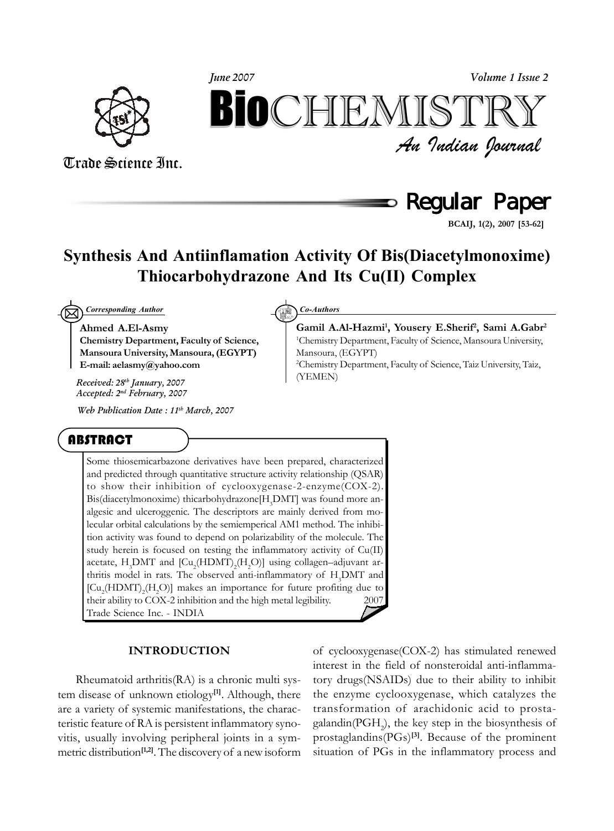

*An Indian Journal* Trade Science Inc. *Volume 1 Issue 2 June 2007* BIOCHIEMIST

Regular Paper

**BCAIJ, 1(2), 2007 [53-62]**

### **Synthesis And Antiinflamation Activity Of Bis(Diacetylmonoxime) Thiocarbohydrazone And Its Cu(II) Complex**

 $\boxtimes$ *Corresponding Author Co-Authors*

**Ahmed A.El-Asmy Chemistry Department, Faculty of Science, Mansoura University, Mansoura, (EGYPT) E-mail: aelasmy@yahoo.com**

(YEMEN) *Received: 28th January, 2007 Accepted: 2nd February, 2007*

*Web Publication Date : 11th March, 2007*

#### ABSTRACT

Some thiosemicarbazone derivatives have been prepared, characterized and predicted through quantitative structure activity relationship (QSAR) to show their inhibition of cyclooxygenase-2-enzyme(COX-2). Bis(diacetylmonoxime) thicarbohydrazone [H<sub>3</sub>DMT] was found more analgesic and ulceroggenic. The descriptors are mainly derived from molecular orbital calculations by the semiemperical AM1 method. The inhibition activity was found to depend on polarizability of the molecule. The study herein is focused on testing the inflammatory activity of Cu(II) acetate,  $H_3$ DMT and  $\left[ Cu_2(HDMT)_2(H_2O) \right]$  using collagen–adjuvant arthritis model in rats. The observed anti-inflammatory of  $H_3$ DMT and [Cu<sub>2</sub>(HDMT)<sub>2</sub>(H<sub>2</sub>O)] makes an importance for future profiting due to their ability to COX-2 inhibition and the high metal legibility.  $\qquad \qquad \circled$  2007 Trade Science Inc. - INDIA

#### **INTRODUCTION**

Rheumatoid arthritis(RA) is a chronic multi system disease of unknown etiology**[1]**. Although, there are a variety of systemic manifestations, the characteristic feature of RA is persistent inflammatory synovitis, usually involving peripheral joints in a symmetric distribution**[1,2]**. The discovery of a new isoform of cyclooxygenase(COX-2) has stimulated renewed interest in the field of nonsteroidal anti-inflammatory drugs(NSAIDs) due to their ability to inhibit the enzyme cyclooxygenase, which catalyzes the transformation of arachidonic acid to prostagalandin(PGH<sub>2</sub>), the key step in the biosynthesis of prostaglandins(PGs)**[3]**. Because of the prominent situation of PGs in the inflammatory process and

**Gamil A.Al-Hazmi1 , Yousery E.Sherif2 , Sami A.Gabr2** 1 Chemistry Department, Faculty of Science, Mansoura University, Mansoura, (EGYPT)

2 Chemistry Department, Faculty of Science, Taiz University, Taiz,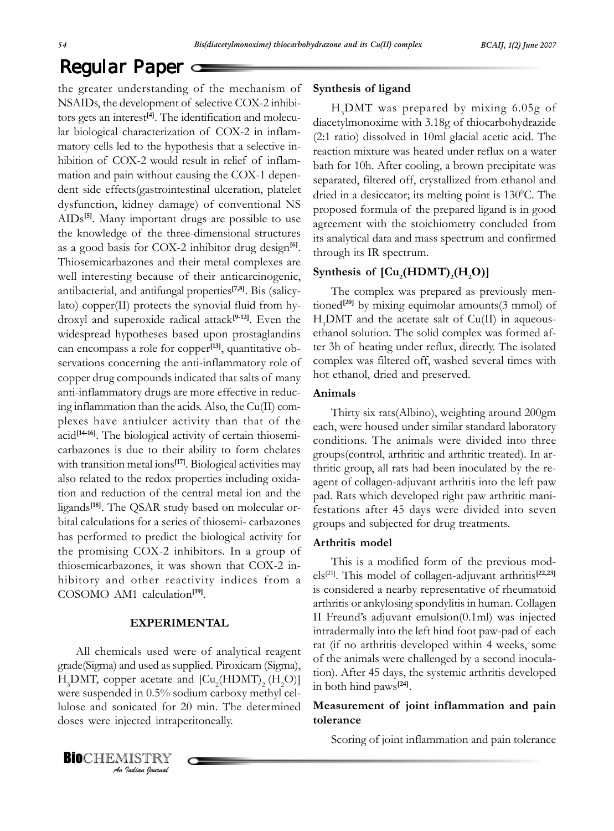the greater understanding of the mechanism of NSAIDs, the development of selective COX-2 inhibitors gets an interest**[4]**. The identification and molecular biological characterization of COX-2 in inflammatory cells led to the hypothesis that a selective inhibition of COX-2 would result in relief of inflammation and pain without causing the COX-1 dependent side effects(gastrointestinal ulceration, platelet dysfunction, kidney damage) of conventional NS AIDs**[5]**. Many important drugs are possible to use the knowledge of the three-dimensional structures as a good basis for COX-2 inhibitor drug design**[6]**. Thiosemicarbazones and their metal complexes are well interesting because of their anticarcinogenic, antibacterial, and antifungal properties**[7,8]**. Bis (salicylato) copper(II) protects the synovial fluid from hydroxyl and superoxide radical attack**[9-12]**. Even the widespread hypotheses based upon prostaglandins can encompass a role for copper**[13]**, quantitative observations concerning the anti-inflammatory role of copper drug compounds indicated that salts of many anti-inflammatory drugs are more effective in reducing inflammation than the acids. Also, the Cu(II) complexes have antiulcer activity than that of the acid<sup>[14-16]</sup>. The biological activity of certain thiosemicarbazones is due to their ability to form chelates with transition metal ions<sup>[17]</sup>. Biological activities may also related to the redox properties including oxidation and reduction of the central metal ion and the ligands**[18]**. The QSAR study based on molecular orbital calculations for a series of thiosemi- carbazones has performed to predict the biological activity for the promising COX-2 inhibitors. In a group of thiosemicarbazones, it was shown that COX-2 inhibitory and other reactivity indices from a COSOMO AM1 calculation**[19]**.

#### **EXPERIMENTAL**

All chemicals used were of analytical reagent grade(Sigma) and used as supplied. Piroxicam (Sigma),  $H_3$ DMT, copper acetate and  $\left[ Cu_2(HDMT)_{2} (H_2O) \right]$ were suspended in 0.5% sodium carboxy methyl cellulose and sonicated for 20 min. The determined doses were injected intraperitoneally.

#### **Synthesis of ligand**

H3 DMT was prepared by mixing 6.05g of diacetylmonoxime with 3.18g of thiocarbohydrazide (2:1 ratio) dissolved in 10ml glacial acetic acid. The reaction mixture was heated under reflux on a water bath for 10h. After cooling, a brown precipitate was separated, filtered off, crystallized from ethanol and dried in a desiccator; its melting point is 130°C. The proposed formula of the prepared ligand is in good agreement with the stoichiometry concluded from its analytical data and mass spectrum and confirmed through its IR spectrum.

### Synthesis of  $\left[\text{Cu}_2(\text{HDMT})_2(\text{H}_2\text{O})\right]$

The complex was prepared as previously mentioned<sup>[20]</sup> by mixing equimolar amounts(3 mmol) of H3 DMT and the acetate salt of Cu(II) in aqueousethanol solution. The solid complex was formed after 3h of heating under reflux, directly. The isolated complex was filtered off, washed several times with hot ethanol, dried and preserved.

#### **Animals**

Thirty six rats(Albino), weighting around 200gm each, were housed under similar standard laboratory conditions. The animals were divided into three groups(control, arthritic and arthritic treated). In arthritic group, all rats had been inoculated by the reagent of collagen-adjuvant arthritis into the left paw pad. Rats which developed right paw arthritic manifestations after 45 days were divided into seven groups and subjected for drug treatments.

#### **Arthritis model**

This is a modified form of the previous models[21]. This model of collagen-adjuvant arthritis**[22,23]** is considered a nearby representative of rheumatoid arthritis or ankylosing spondylitis in human. Collagen II Freund's adjuvant emulsion(0.1ml) was injected intradermally into the left hind foot paw-pad of each rat (if no arthritis developed within 4 weeks, some of the animals were challenged by a second inoculation). After 45 days, the systemic arthritis developed in both hind paws**[24]**.

#### **Measurement of joint inflammation and pain tolerance**

Scoring of joint inflammation and pain tolerance

*An Indian Journal* **BIOCHEMISTRY**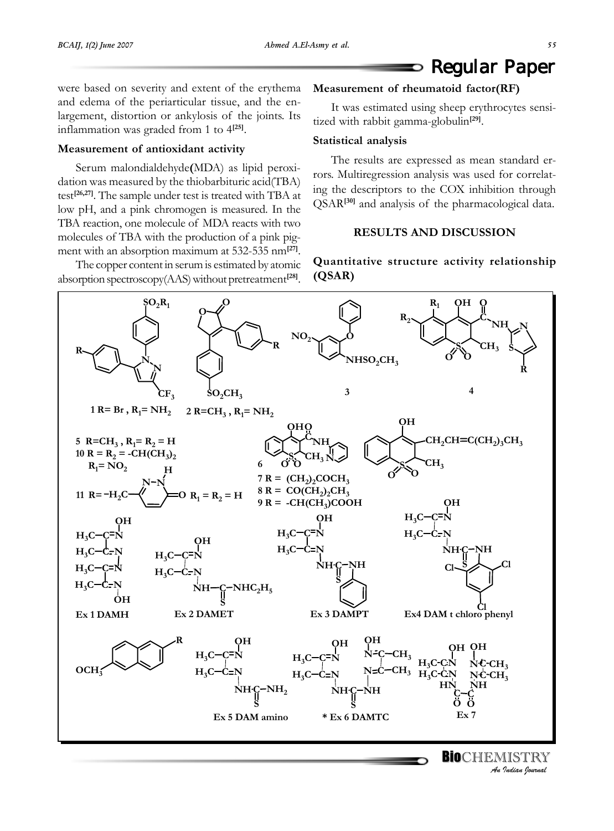were based on severity and extent of the erythema and edema of the periarticular tissue, and the enlargement, distortion or ankylosis of the joints. Its inflammation was graded from 1 to 4**[25]**.

#### **Measurement of antioxidant activity**

Serum malondialdehyde**(**MDA) as lipid peroxidation was measured by the thiobarbituric acid(TBA) test**[26,27]**. The sample under test is treated with TBA at low pH, and a pink chromogen is measured. In the TBA reaction, one molecule of MDA reacts with two molecules of TBA with the production of a pink pigment with an absorption maximum at 532-535 nm**[27]**.

The copper content in serum is estimated by atomic absorption spectroscopy(AAS) without pretreatment**[28]**.

#### **Measurement of rheumatoid factor(RF)**

It was estimated using sheep erythrocytes sensitized with rabbit gamma-globulin**[29]**.

#### **Statistical analysis**

The results are expressed as mean standard errors. Multiregression analysis was used for correlating the descriptors to the COX inhibition through QSAR**[30]** and analysis of the pharmacological data.

#### **RESULTS AND DISCUSSION**

#### **Quantitative structure activity relationship (QSAR)**

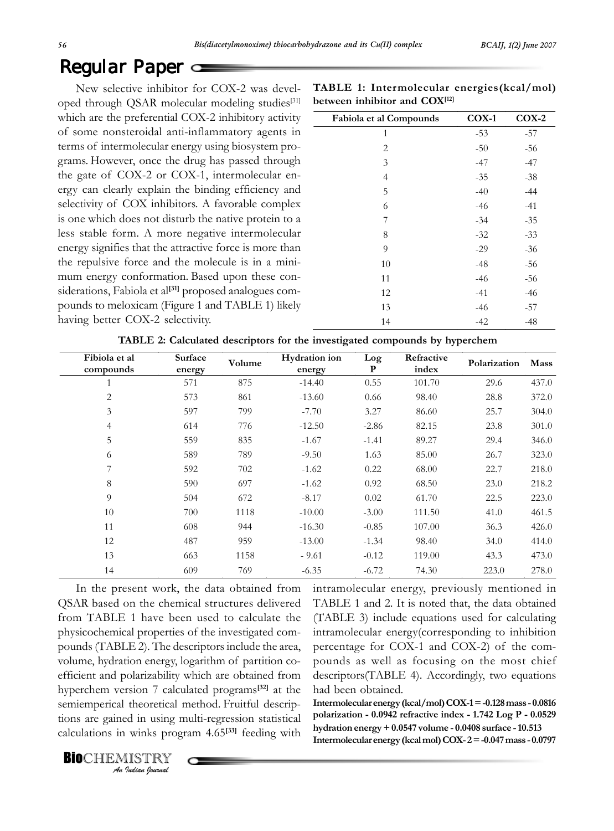New selective inhibitor for COX-2 was developed through QSAR molecular modeling studies<sup>[31]</sup> which are the preferential COX-2 inhibitory activity of some nonsteroidal anti-inflammatory agents in terms of intermolecular energy using biosystem programs. However, once the drug has passed through the gate of COX-2 or COX-1, intermolecular energy can clearly explain the binding efficiency and selectivity of COX inhibitors. A favorable complex is one which does not disturb the native protein to a less stable form. A more negative intermolecular energy signifies that the attractive force is more than the repulsive force and the molecule is in a minimum energy conformation. Based upon these considerations, Fabiola et al<sup>[31]</sup> proposed analogues compounds to meloxicam (Figure 1 and TABLE 1) likely having better COX-2 selectivity.

| TABLE 1: Intermolecular energies(kcal/mol) |  |
|--------------------------------------------|--|
| between inhibitor and COX <sup>[12]</sup>  |  |

| Fabiola et al Compounds | $COX-1$ | $COX-2$ |
|-------------------------|---------|---------|
| 1                       | $-53$   | $-57$   |
| 2                       | $-50$   | -56     |
| 3                       | $-47$   | -47     |
| 4                       | $-35$   | $-38$   |
| 5                       | $-40$   | $-44$   |
| 6                       | $-46$   | $-41$   |
| 7                       | $-34$   | $-35$   |
| 8                       | $-32$   | $-33$   |
| 9                       | $-29$   | $-36$   |
| 10                      | $-48$   | -56     |
| 11                      | $-46$   | $-56$   |
| 12                      | $-41$   | $-46$   |
| 13                      | $-46$   | -57     |
| 14                      | $-42$   | $-48$   |

**TABLE 2: Calculated descriptors for the investigated compounds by hyperchem**

| Fibiola et al<br>compounds | Surface<br>energy | Volume | Hydration ion<br>energy | Log<br>P | Refractive<br>index | Polarization | Mass  |
|----------------------------|-------------------|--------|-------------------------|----------|---------------------|--------------|-------|
|                            | 571               | 875    | $-14.40$                | 0.55     | 101.70              | 29.6         | 437.0 |
| 2                          | 573               | 861    | $-13.60$                | 0.66     | 98.40               | 28.8         | 372.0 |
| 3                          | 597               | 799    | $-7.70$                 | 3.27     | 86.60               | 25.7         | 304.0 |
| $\overline{4}$             | 614               | 776    | $-12.50$                | $-2.86$  | 82.15               | 23.8         | 301.0 |
| 5                          | 559               | 835    | $-1.67$                 | $-1.41$  | 89.27               | 29.4         | 346.0 |
| 6                          | 589               | 789    | $-9.50$                 | 1.63     | 85.00               | 26.7         | 323.0 |
| 7                          | 592               | 702    | $-1.62$                 | 0.22     | 68.00               | 22.7         | 218.0 |
| 8                          | 590               | 697    | $-1.62$                 | 0.92     | 68.50               | 23.0         | 218.2 |
| 9                          | 504               | 672    | $-8.17$                 | 0.02     | 61.70               | 22.5         | 223.0 |
| 10                         | 700               | 1118   | $-10.00$                | $-3.00$  | 111.50              | 41.0         | 461.5 |
| 11                         | 608               | 944    | $-16.30$                | $-0.85$  | 107.00              | 36.3         | 426.0 |
| 12                         | 487               | 959    | $-13.00$                | $-1.34$  | 98.40               | 34.0         | 414.0 |
| 13                         | 663               | 1158   | $-9.61$                 | $-0.12$  | 119.00              | 43.3         | 473.0 |
| 14                         | 609               | 769    | $-6.35$                 | $-6.72$  | 74.30               | 223.0        | 278.0 |

In the present work, the data obtained from QSAR based on the chemical structures delivered from TABLE 1 have been used to calculate the physicochemical properties of the investigated compounds (TABLE 2). The descriptors include the area, volume, hydration energy, logarithm of partition coefficient and polarizability which are obtained from hyperchem version 7 calculated programs**[32]** at the semiemperical theoretical method. Fruitful descriptions are gained in using multi-regression statistical calculations in winks program 4.65**[33]** feeding with intramolecular energy, previously mentioned in TABLE 1 and 2. It is noted that, the data obtained (TABLE 3) include equations used for calculating intramolecular energy(corresponding to inhibition percentage for COX-1 and COX-2) of the compounds as well as focusing on the most chief descriptors(TABLE 4). Accordingly, two equations had been obtained.

**Intermolecular energy (kcal/mol) COX-1 = -0.128 mass - 0.0816 polarization - 0.0942 refractive index - 1.742 Log P - 0.0529 hydration energy + 0.0547 volume - 0.0408 surface - 10.513 Intermolecular energy (kcal mol) COX- 2 = -0.047 mass - 0.0797**

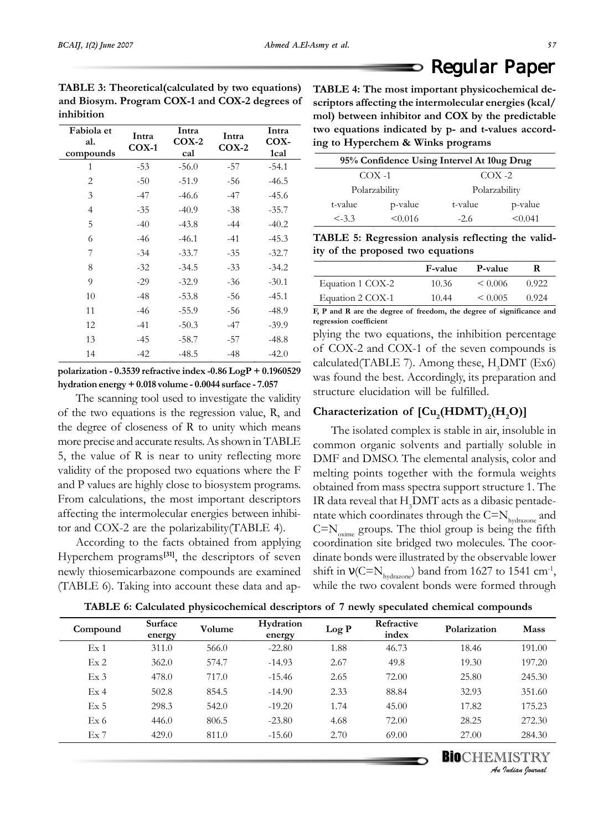|    | TABLE 4: The most important physicochemical de-        |
|----|--------------------------------------------------------|
| ۱ť | scriptors affecting the intermolecular energies (kcal/ |
|    | mol) between inhibitor and COX by the predictable      |
|    | two equations indicated by n- and t-values accord-     |

**Fabiola et al. compounds Intra COX-1 Intra COX-2 cal Intra COX-2 Intra COX-1cal**  1 -53 -56.0 -57 -54.1 2 -50 -51.9 -56 -46.5 3 -47 -46.6 -47 -45.6 4 -35 -40.9 -38 -35.7 5 -40 -43.8 -44 -40.2 6 -46 -46.1 -41 -45.3 7 -34 -33.7 -35 -32.7 8 -32 -34.5 -33 -34.2 9 -29 -32.9 -36 -30.1 10 -48 -53.8 -56 -45.1 11 -46 -55.9 -56 -48.9 12 -41 -50.3 -47 -39.9 13 -45 -58.7 -57 -48.8

**polarization - 0.3539 refractive index -0.86 LogP + 0.1960529 hydration energy + 0.018 volume - 0.0044 surface - 7.057**

14 -42 -48.5 -48 -42.0

The scanning tool used to investigate the validity of the two equations is the regression value, R, and the degree of closeness of R to unity which means more precise and accurate results. As shown in TABLE 5, the value of R is near to unity reflecting more validity of the proposed two equations where the F and P values are highly close to biosystem programs. From calculations, the most important descriptors affecting the intermolecular energies between inhibitor and COX-2 are the polarizability(TABLE 4).

According to the facts obtained from applying Hyperchem programs**[31]**, the descriptors of seven newly thiosemicarbazone compounds are examined (TABLE 6). Taking into account these data and ap-

**scriptors affecting the intermolecular energies (kcal/ mol) between inhibitor and COX by the predictable two equations indicated by p- and t-values according to Hyperchem & Winks programs**

Regular Paper

| 95% Confidence Using Intervel At 10ug Drug |               |         |               |  |  |
|--------------------------------------------|---------------|---------|---------------|--|--|
|                                            | $COX -1$      |         | $COX - 2$     |  |  |
|                                            | Polarzability |         | Polarzability |  |  |
| t-value                                    | p-value       | t-value | p-value       |  |  |
| $< -3.3$                                   | < 0.016       | $-2.6$  | < 0.041       |  |  |

**TABLE 5: Regression analysis reflecting the validity of the proposed two equations**

|                  | <b>F-value</b> | P-value      | R     |
|------------------|----------------|--------------|-------|
| Equation 1 COX-2 | 10.36          | $\leq 0.006$ | 0.922 |
| Equation 2 COX-1 | 10.44          | $\leq 0.005$ | 0.924 |

**F, P and R are the degree of freedom, the degree of significance and regression coefficient**

plying the two equations, the inhibition percentage of COX-2 and COX-1 of the seven compounds is  $cal (TABLE 7)$ . Among these,  $H<sub>3</sub>$ DMT  $(Ex6)$ was found the best. Accordingly, its preparation and structure elucidation will be fulfilled.

### Characterization of  $\left[\text{Cu}_{2}(\text{HDMT})_{2}(\text{H}_{2}\text{O})\right]$

The isolated complex is stable in air, insoluble in common organic solvents and partially soluble in DMF and DMSO. The elemental analysis, color and melting points together with the formula weights obtained from mass spectra support structure 1. The IR data reveal that  $\rm H_3$ DMT acts as a dibasic pentadentate which coordinates through the  $C=N_{hvdrazone}$  and  $C=N_{\text{oxime}}$  groups. The thiol group is being the fifth coordination site bridged two molecules. The coordinate bonds were illustrated by the observable lower shift in  $V(C=N_{hydroel})$  band from 1627 to 1541 cm<sup>-1</sup>, while the two covalent bonds were formed through

| TABLE 6: Calculated physicochemical descriptors of 7 newly speculated chemical compounds |  |  |
|------------------------------------------------------------------------------------------|--|--|
|                                                                                          |  |  |

| Compound        | Surface<br>energy | Volume | Hydration<br>energy | Log P | Refractive<br>index | Polarization | <b>Mass</b> |
|-----------------|-------------------|--------|---------------------|-------|---------------------|--------------|-------------|
| Ex <sub>1</sub> | 311.0             | 566.0  | $-22.80$            | 1.88  | 46.73               | 18.46        | 191.00      |
| Ex2             | 362.0             | 574.7  | $-14.93$            | 2.67  | 49.8                | 19.30        | 197.20      |
| Ex <sub>3</sub> | 478.0             | 717.0  | $-15.46$            | 2.65  | 72.00               | 25.80        | 245.30      |
| Ex <sub>4</sub> | 502.8             | 854.5  | $-14.90$            | 2.33  | 88.84               | 32.93        | 351.60      |
| Ex <sub>5</sub> | 298.3             | 542.0  | $-19.20$            | 1.74  | 45.00               | 17.82        | 175.23      |
| Ex <sub>6</sub> | 446.0             | 806.5  | $-23.80$            | 4.68  | 72.00               | 28.25        | 272.30      |
| Ex7             | 429.0             | 811.0  | $-15.60$            | 2.70  | 69.00               | 27.00        | 284.30      |
|                 |                   |        |                     |       |                     |              |             |

**BIO**CHEMISTRY *An Indian Journal*

**TABLE 3: Theoretical(calculated by two equations) and Biosym. Program COX-1 and COX-2 degrees of inhibition**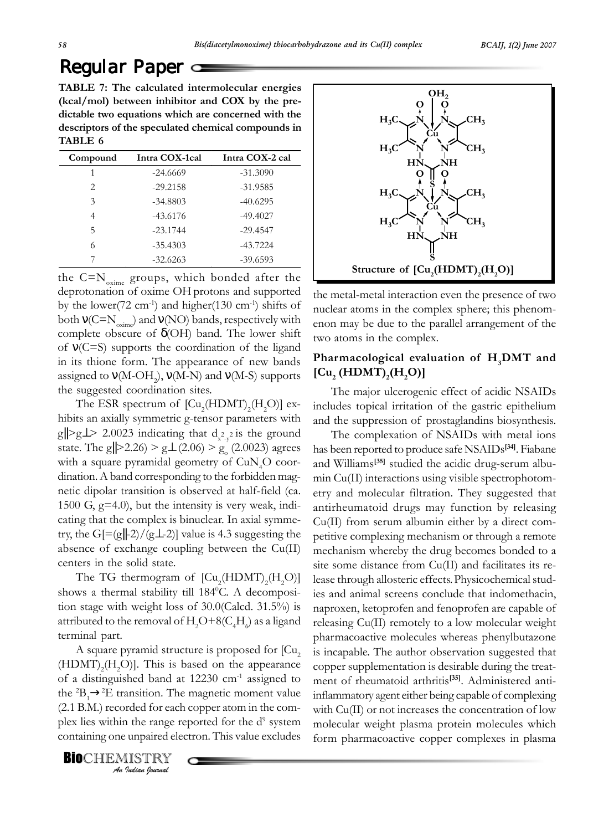**TABLE 7: The calculated intermolecular energies (kcal/mol) between inhibitor and COX by the predictable two equations which are concerned with the descriptors of the speculated chemical compounds in TABLE 6**

| Compound                      | Intra COX-1cal | Intra COX-2 cal |
|-------------------------------|----------------|-----------------|
| 1                             | $-24.6669$     | $-31.3090$      |
| $\mathfrak{D}_{\mathfrak{p}}$ | $-29.2158$     | $-31.9585$      |
| 3                             | $-34.8803$     | $-40.6295$      |
| 4                             | $-43.6176$     | $-49.4027$      |
| 5                             | $-23.1744$     | $-29.4547$      |
| 6                             | $-35.4303$     | $-43.7224$      |
|                               | $-32.6263$     | $-39.6593$      |

the  $C=N_{\text{oxime}}$  groups, which bonded after the deprotonation of oxime OH protons and supported by the lower(72 cm<sup>-1</sup>) and higher(130 cm<sup>-1</sup>) shifts of both  $v(C=N_{\text{oxime}})$  and  $v(\text{NO})$  bands, respectively with complete obscure of  $\delta$ (OH) band. The lower shift of ν(C=S) supports the coordination of the ligand in its thione form. The appearance of new bands assigned to  $\mathsf{v}(\text{M-OH}_2)$ ,  $\mathsf{v}(\text{M-N})$  and  $\mathsf{v}(\text{M-S})$  supports the suggested coordination sites.

The ESR spectrum of  $\left[\text{Cu}_{2}(\text{HDMT})_{2}(\text{H}_{2}\text{O})\right]$  exhibits an axially symmetric g-tensor parameters with g||>g⊥> 2.0023 indicating that  $d_{x^2-y^2}$  is the ground state. The g||>2.26) > g $\perp$  (2.06) > g<sub>o</sub><sup>'</sup> (2.0023) agrees with a square pyramidal geometry of CuN<sub>4</sub>O coordination. A band corresponding to the forbidden magnetic dipolar transition is observed at half-field (ca. 1500 G, g=4.0), but the intensity is very weak, indicating that the complex is binuclear. In axial symmetry, the G[=(g||-2)/(g $\perp$ -2)] value is 4.3 suggesting the absence of exchange coupling between the Cu(II) centers in the solid state.

The TG thermogram of  $\left[\text{Cu}_2(\text{HDMT})_2(\text{H}_2\text{O})\right]$ shows a thermal stability till 184°C. A decomposition stage with weight loss of 30.0(Calcd. 31.5%) is attributed to the removal of  $\rm H_2O+8(C_4H_{\odot})$  as a ligand terminal part.

A square pyramid structure is proposed for  $\lbrack Cu, \rbrack$  $(HDMT)_{2}(H_{2}O)$ ]. This is based on the appearance of a distinguished band at  $12230 \text{ cm}^{-1}$  assigned to the <sup>2</sup> $B_1 \rightarrow$ <sup>2</sup>E transition. The magnetic moment value (2.1 B.M.) recorded for each copper atom in the complex lies within the range reported for the d<sup>9</sup> system containing one unpaired electron. This value excludes

*An Indian Journal* **BIO**CHEMISTRY



the metal-metal interaction even the presence of two nuclear atoms in the complex sphere; this phenomenon may be due to the parallel arrangement of the two atoms in the complex.

#### **Pharmacological evaluation of H3 DMT and**  $[Cu_{2} (HDMT)_{2} (H_{2}O)]$

The major ulcerogenic effect of acidic NSAIDs includes topical irritation of the gastric epithelium and the suppression of prostaglandins biosynthesis.

The complexation of NSAIDs with metal ions has been reported to produce safe NSAIDs**[34]**. Fiabane and Williams**[35]** studied the acidic drug-serum albumin Cu(II) interactions using visible spectrophotometry and molecular filtration. They suggested that antirheumatoid drugs may function by releasing Cu(II) from serum albumin either by a direct competitive complexing mechanism or through a remote mechanism whereby the drug becomes bonded to a site some distance from Cu(II) and facilitates its release through allosteric effects.Physicochemical studies and animal screens conclude that indomethacin, naproxen, ketoprofen and fenoprofen are capable of releasing Cu(II) remotely to a low molecular weight pharmacoactive molecules whereas phenylbutazone is incapable. The author observation suggested that copper supplementation is desirable during the treatment of rheumatoid arthritis**[35]**. Administered antiinflammatory agent either being capable of complexing with Cu(II) or not increases the concentration of low molecular weight plasma protein molecules which form pharmacoactive copper complexes in plasma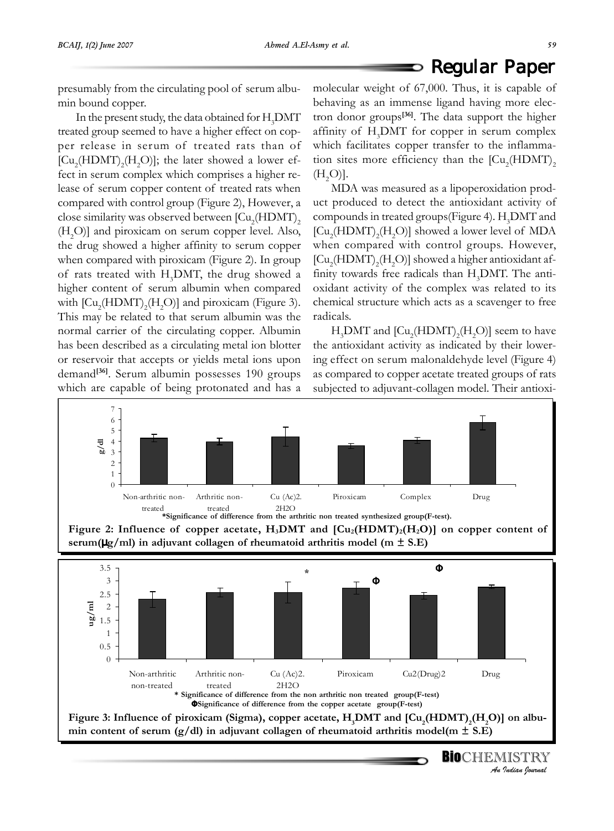## $\mathsf{\circ}$  Regular Paper

presumably from the circulating pool of serum albumin bound copper.

In the present study, the data obtained for  $\rm H_3$ DMT treated group seemed to have a higher effect on copper release in serum of treated rats than of  $\left[\text{Cu}_{2}(\text{HDMT})_{2}(\text{H}_{2}\text{O})\right]$ ; the later showed a lower effect in serum complex which comprises a higher release of serum copper content of treated rats when compared with control group (Figure 2), However, a close similarity was observed between  $\left[\mathrm{Cu}_{\scriptscriptstyle{2}}(\mathrm{HDMT})_{\scriptscriptstyle{2}}\right]$  $(H<sub>2</sub>O)$ ] and piroxicam on serum copper level. Also, the drug showed a higher affinity to serum copper when compared with piroxicam (Figure 2). In group of rats treated with  $H_3$ DMT, the drug showed a higher content of serum albumin when compared with  $\text{[Cu}_{2}\text{(HDMT)}_{2}\text{(H}_{2}\text{O)}\text{]}$  and piroxicam (Figure 3). This may be related to that serum albumin was the normal carrier of the circulating copper. Albumin has been described as a circulating metal ion blotter or reservoir that accepts or yields metal ions upon demand**[36]**. Serum albumin possesses 190 groups which are capable of being protonated and has a

molecular weight of 67,000. Thus, it is capable of behaving as an immense ligand having more electron donor groups**[36]**. The data support the higher affinity of H<sub>3</sub>DMT for copper in serum complex which facilitates copper transfer to the inflammation sites more efficiency than the  $\left[{\rm Cu_2(HDMT)}_2\right]$  $(H<sub>2</sub>O)].$ 

MDA was measured as a lipoperoxidation product produced to detect the antioxidant activity of compounds in treated groups (Figure 4).  $H_3$ DMT and  $\rm [Cu_2(HDMT)_2(H_2O)]$  showed a lower level of MDA when compared with control groups. However,  $\rm [Cu_2(HDMT)_2(H_2O)]$  showed a higher antioxidant affinity towards free radicals than  $H_3$ DMT. The antioxidant activity of the complex was related to its chemical structure which acts as a scavenger to free radicals.

 $H_3$ DMT and  $\text{[Cu}_2\text{(HDMT)}_2\text{(H}_2\text{O)}\text{]}$  seem to have the antioxidant activity as indicated by their lowering effect on serum malonaldehyde level (Figure 4) as compared to copper acetate treated groups of rats subjected to adjuvant-collagen model. Their antioxi-

*An Indian Journal*

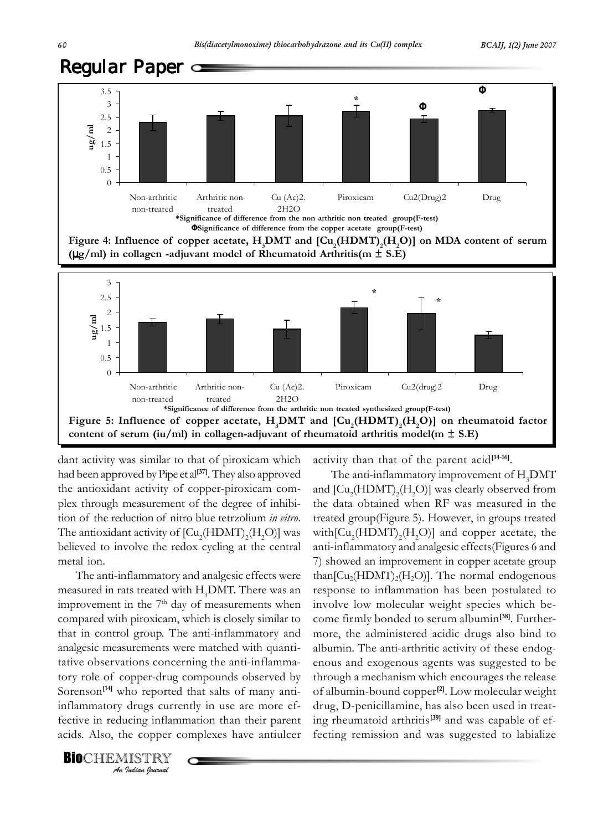



dant activity was similar to that of piroxicam which had been approved by Pipe et al**[37]**. They also approved the antioxidant activity of copper-piroxicam complex through measurement of the degree of inhibition of the reduction of nitro blue tetrzolium *in vitro*. The antioxidant activity of  $\text{[Cu}_{2}\text{(HDMT)}_{2}\text{(H}_{2}\text{O)}\text{]}$  was believed to involve the redox cycling at the central metal ion.

The anti-inflammatory and analgesic effects were measured in rats treated with  $H_3$ DMT. There was an improvement in the  $7<sup>th</sup>$  day of measurements when compared with piroxicam, which is closely similar to that in control group. The anti-inflammatory and analgesic measurements were matched with quantitative observations concerning the anti-inflammatory role of copper-drug compounds observed by Sorenson**[14]** who reported that salts of many antiinflammatory drugs currently in use are more effective in reducing inflammation than their parent acids. Also, the copper complexes have antiulcer

*An Indian Journal*

**BIOCHEMISTRY** 

activity than that of the parent acid**[14-16]**.

The anti-inflammatory improvement of  $\rm{H}_{3}$ DMT and  $\left[\mathrm{Cu}_{2}(\mathrm{HDMT})_{2}(\mathrm{H}_{2}\mathrm{O})\right]$  was clearly observed from the data obtained when RF was measured in the treated group(Figure 5). However, in groups treated with $\left[\mathrm{Cu}_{2}(\mathrm{HDMT})_{2}(\mathrm{H}_{2}\mathrm{O})\right]$  and copper acetate, the anti-inflammatory and analgesic effects(Figures 6 and 7) showed an improvement in copper acetate group than $\left[\text{Cu}_{2}(\text{HDMT})_{2}(\text{H}_{2}\text{O})\right]$ . The normal endogenous response to inflammation has been postulated to involve low molecular weight species which become firmly bonded to serum albumin**[38]**. Furthermore, the administered acidic drugs also bind to albumin. The anti-arthritic activity of these endogenous and exogenous agents was suggested to be through a mechanism which encourages the release of albumin-bound copper**[2]**. Low molecular weight drug, D-penicillamine, has also been used in treating rheumatoid arthritis**[39]** and was capable of effecting remission and was suggested to labialize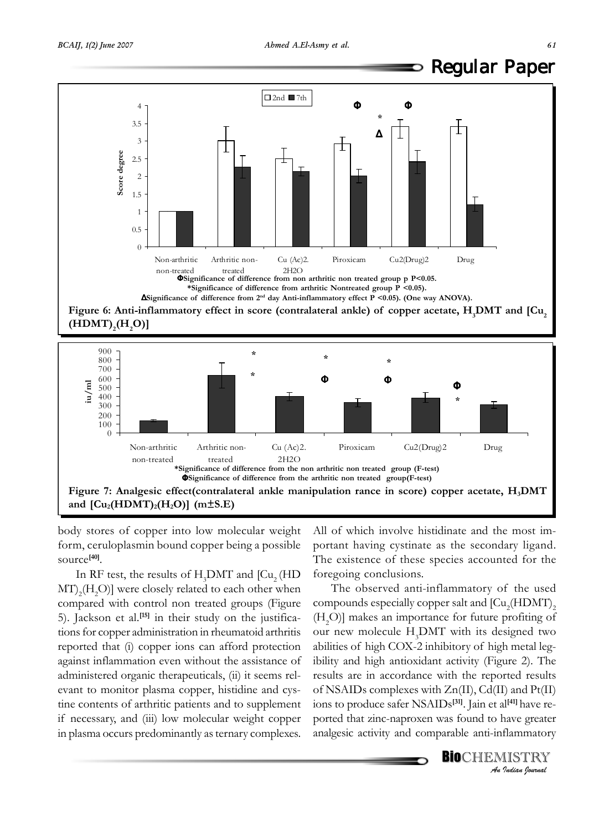



body stores of copper into low molecular weight form, ceruloplasmin bound copper being a possible source**[40]**.

In RF test, the results of  $H_3$ DMT and [Cu<sub>2</sub> (HD  $\mathrm{MT})_{2}(\mathrm{H}_{2}\mathrm{O})$ ] were closely related to each other when compared with control non treated groups (Figure 5). Jackson et al.**[15]** in their study on the justifications for copper administration in rheumatoid arthritis reported that (i) copper ions can afford protection against inflammation even without the assistance of administered organic therapeuticals, (ii) it seems relevant to monitor plasma copper, histidine and cystine contents of arthritic patients and to supplement if necessary, and (iii) low molecular weight copper in plasma occurs predominantly as ternary complexes.

All of which involve histidinate and the most important having cystinate as the secondary ligand. The existence of these species accounted for the foregoing conclusions.

The observed anti-inflammatory of the used compounds especially copper salt and  ${\rm [Cu_2(HDMT)]_2}$ (H2 O)] makes an importance for future profiting of our new molecule  $H_3$ DMT with its designed two abilities of high COX-2 inhibitory of high metal legibility and high antioxidant activity (Figure 2). The results are in accordance with the reported results of NSAIDs complexes with Zn(II), Cd(II) and Pt(II) ions to produce safer NSAIDs**[31]**. Jain et al**[41]** have reported that zinc-naproxen was found to have greater analgesic activity and comparable anti-inflammatory

**BIO**CHEMISTRY

*An Indian Journal*